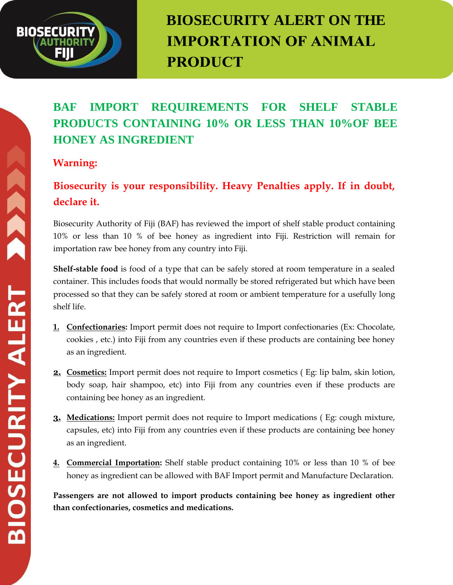# **BIOSECURITY**

# **BIOSECURITY ALERT ON THE IMPORTATION OF ANIMAL PRODUCT**

## **BAF IMPORT REQUIREMENTS FOR SHELF STABLE PRODUCTS CONTAINING 10% OR LESS THAN 10%OF BEE HONEY AS INGREDIENT**

#### **Warning:**

### **Biosecurity is your responsibility. Heavy Penalties apply. If in doubt, declare it.**

Biosecurity Authority of Fiji (BAF) has reviewed the import of shelf stable product containing 10% or less than 10 % of bee honey as ingredient into Fiji. Restriction will remain for importation raw bee honey from any country into Fiji.

**Shelf-stable food** is food of a type that can be safely stored at room temperature in a sealed container. This includes foods that would normally be stored refrigerated but which have been processed so that they can be safely stored at room or ambient temperature for a usefully long shelf life.

- **1. Confectionaries:** Import permit does not require to Import confectionaries (Ex: Chocolate, cookies , etc.) into Fiji from any countries even if these products are containing bee honey as an ingredient.
- **2. Cosmetics:** Import permit does not require to Import cosmetics ( Eg: lip balm, skin lotion, body soap, hair shampoo, etc) into Fiji from any countries even if these products are containing bee honey as an ingredient.
- **3. Medications:** Import permit does not require to Import medications ( Eg: cough mixture, capsules, etc) into Fiji from any countries even if these products are containing bee honey as an ingredient.
- **4. Commercial Importation:** Shelf stable product containing 10% or less than 10 % of bee honey as ingredient can be allowed with BAF Import permit and Manufacture Declaration.

**Passengers are not allowed to import products containing bee honey as ingredient other than confectionaries, cosmetics and medications.**